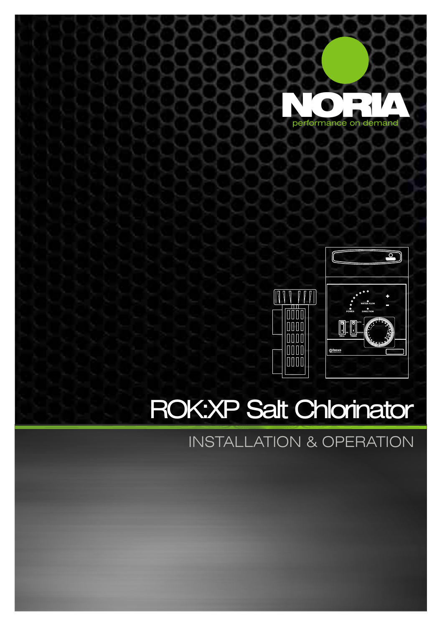



### ROK:XP Salt Chlorinator

INSTALLATION & OPERATION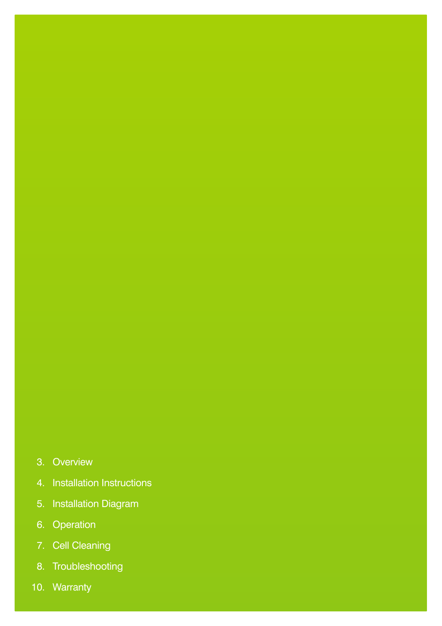### 3. Overview

- 4. Installation Instructions
- 5. Installation Diagram
- 6. Operation
- 7. Cell Cleaning
- 8. Troubleshooting
- 10. Warranty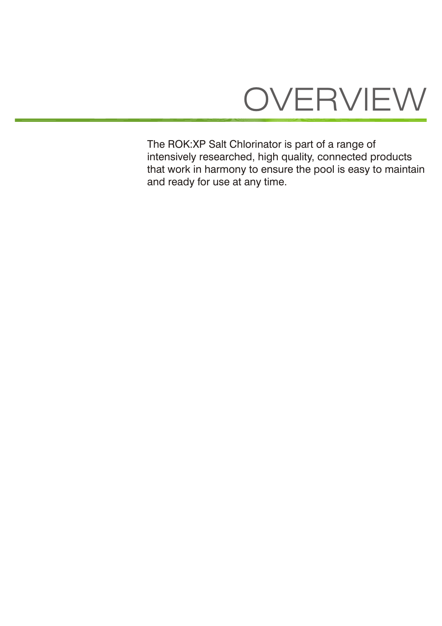## OVERVIEW

The ROK:XP Salt Chlorinator is part of a range of intensively researched, high quality, connected products that work in harmony to ensure the pool is easy to maintain and ready for use at any time.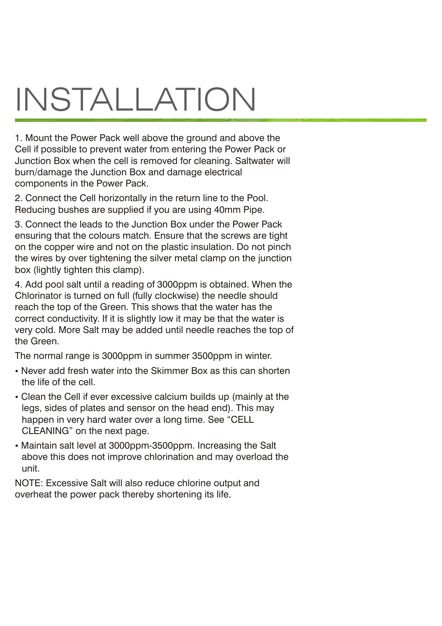## INSTALLATION

1. Mount the Power Pack well above the ground and above the Cell if possible to prevent water from entering the Power Pack or Junction Box when the cell is removed for cleaning. Saltwater will burn/damage the Junction Box and damage electrical components in the Power Pack.

2. Connect the Cell horizontally in the return line to the Pool. Reducing bushes are supplied if you are using 40mm Pipe.

3. Connect the leads to the Junction Box under the Power Pack ensuring that the colours match. Ensure that the screws are tight on the copper wire and not on the plastic insulation. Do not pinch the wires by over tightening the silver metal clamp on the junction box (lightly tighten this clamp).

4. Add pool salt until a reading of 3000ppm is obtained. When the Chlorinator is turned on full (fully clockwise) the needle should reach the top of the Green. This shows that the water has the correct conductivity. If it is slightly low it may be that the water is very cold. More Salt may be added until needle reaches the top of the Green.

The normal range is 3000ppm in summer 3500ppm in winter.

- Never add fresh water into the Skimmer Box as this can shorten the life of the cell.
- Clean the Cell if ever excessive calcium builds up (mainly at the legs, sides of plates and sensor on the head end). This may happen in very hard water over a long time. See "CELL CLEANING" on the next page.
- Maintain salt level at 3000ppm-3500ppm. Increasing the Salt above this does not improve chlorination and may overload the unit.

NOTE: Excessive Salt will also reduce chlorine output and overheat the power pack thereby shortening its life.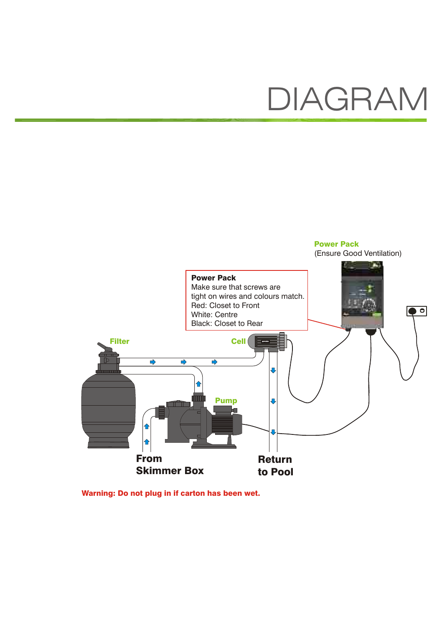### DIAGRAM



Warning: Do not plug in if carton has been wet.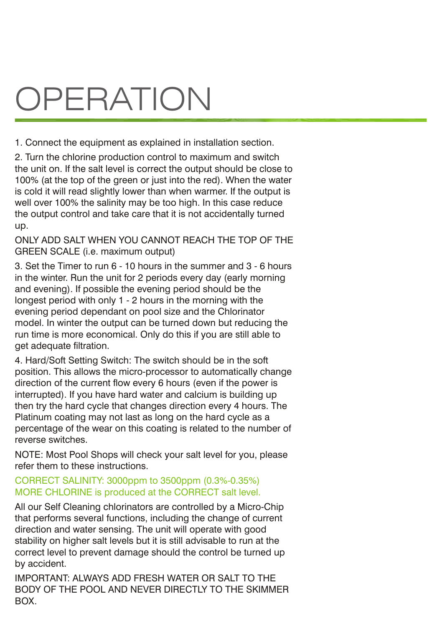## **OPERATION**

1. Connect the equipment as explained in installation section.

2. Turn the chlorine production control to maximum and switch the unit on. If the salt level is correct the output should be close to 100% (at the top of the green or just into the red). When the water is cold it will read slightly lower than when warmer. If the output is well over 100% the salinity may be too high. In this case reduce the output control and take care that it is not accidentally turned up.

ONLY ADD SALT WHEN YOU CANNOT REACH THE TOP OF THE GREEN SCALE (i.e. maximum output)

3. Set the Timer to run 6 - 10 hours in the summer and 3 - 6 hours in the winter. Run the unit for 2 periods every day (early morning and evening). If possible the evening period should be the longest period with only 1 - 2 hours in the morning with the evening period dependant on pool size and the Chlorinator model. In winter the output can be turned down but reducing the run time is more economical. Only do this if you are still able to get adequate filtration.

4. Hard/Soft Setting Switch: The switch should be in the soft position. This allows the micro-processor to automatically change direction of the current flow every 6 hours (even if the power is interrupted). If you have hard water and calcium is building up then try the hard cycle that changes direction every 4 hours. The Platinum coating may not last as long on the hard cycle as a percentage of the wear on this coating is related to the number of reverse switches.

NOTE: Most Pool Shops will check your salt level for you, please refer them to these instructions.

### CORRECT SALINITY: 3000ppm to 3500ppm (0.3%-0.35%) MORE CHLORINE is produced at the CORRECT salt level.

All our Self Cleaning chlorinators are controlled by a Micro-Chip that performs several functions, including the change of current direction and water sensing. The unit will operate with good stability on higher salt levels but it is still advisable to run at the correct level to prevent damage should the control be turned up by accident.

IMPORTANT: ALWAYS ADD FRESH WATER OR SALT TO THE BODY OF THE POOL AND NEVER DIRECTLY TO THE SKIMMER BOX.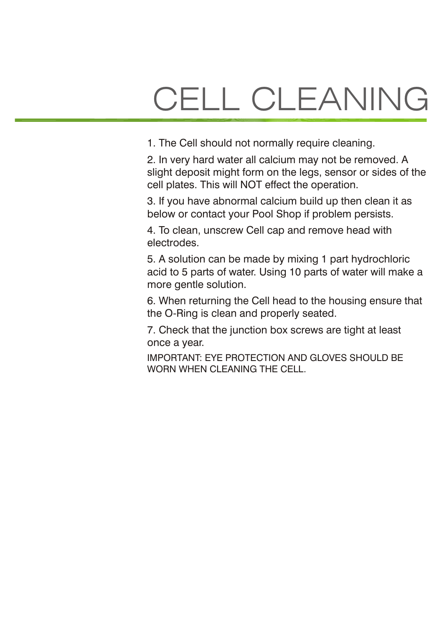# CELL CLEANING

1. The Cell should not normally require cleaning.

2. In very hard water all calcium may not be removed. A slight deposit might form on the legs, sensor or sides of the cell plates. This will NOT effect the operation.

3. If you have abnormal calcium build up then clean it as below or contact your Pool Shop if problem persists.

4. To clean, unscrew Cell cap and remove head with electrodes.

5. A solution can be made by mixing 1 part hydrochloric acid to 5 parts of water. Using 10 parts of water will make a more gentle solution.

6. When returning the Cell head to the housing ensure that the O-Ring is clean and properly seated.

7. Check that the junction box screws are tight at least once a year.

IMPORTANT: EYE PROTECTION AND GLOVES SHOULD BE WORN WHEN CLEANING THE CELL.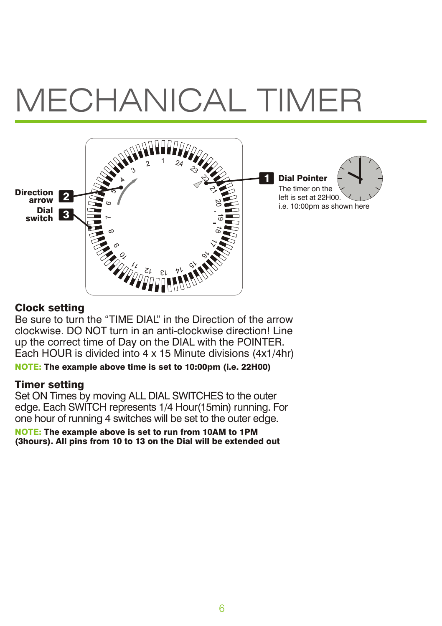## MECHANICAL TIMER



### Clock setting

Be sure to turn the "TIME DIAL" in the Direction of the arrow clockwise. DO NOT turn in an anti-clockwise direction! Line up the correct time of Day on the DIAL with the POINTER. Each HOUR is divided into 4 x 15 Minute divisions (4x1/4hr)

NOTE: The example above time is set to 10:00pm (i.e. 22H00)

### Timer setting

Set ON Times by moving ALL DIAL SWITCHES to the outer edge. Each SWITCH represents 1/4 Hour(15min) running. For one hour of running 4 switches will be set to the outer edge.

NOTE: The example above is set to run from 10AM to 1PM (3hours). All pins from 10 to 13 on the Dial will be extended out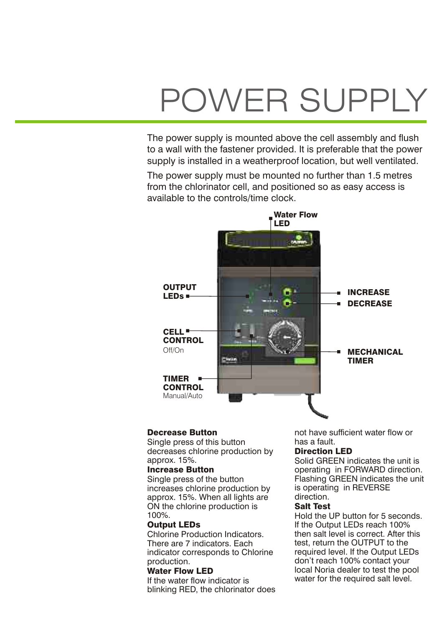## POWER SUPPLY

The power supply is mounted above the cell assembly and flush to a wall with the fastener provided. It is preferable that the power supply is installed in a weatherproof location, but well ventilated.

The power supply must be mounted no further than 1.5 metres from the chlorinator cell, and positioned so as easy access is available to the controls/time clock.



Single press of this button has a fault.<br>
decreases chlorine production by **Direction LED** decreases chlorine production by<br>approx. 15%.

increases chlorine production by is operating in Reversion.<br>In REVERSE 15% When all lights are direction. approx. 15%. When all lights are direction.<br>ON the chlorine production is **Salt Test**  $\overrightarrow{ON}$  the chlorine production is 100%.

There are 7 indicators. Each test, return the OUTPUT to the indicator corresponds to Chlorine required level. If the Output LEDs indicator corresponds to Chlorine<br>production

blinking RED, the chlorinator does

**Decrease Button**<br>Single press of this button<br>has a fault

approx. 15%.<br> **Increase Button**<br> **Increase Button**<br> **Increase Button Increase Button**<br>
Single press of the button<br>
Flashing GREEN indicates the unit Flashing GREEN indicates the unit<br>is operating in REVERSE

100%.<br> **Output LEDs Example 20** Hold the UP button for 5 seconds. **Output LEDs**<br>Chlorine Production Indicators. Then salt level is correct. After the Chlorine Production Indicators. then salt level is correct. After this<br>test. return the OUTPUT to the production.<br> **Water Flow LED CONTEX CONTEX FOR CONTEX FOR CONTRACT USE** local Noria dealer to test the po **Water Flow LED** local Noria dealer to test the pool<br>If the water flow indicator is water for the required salt level. water for the required salt level.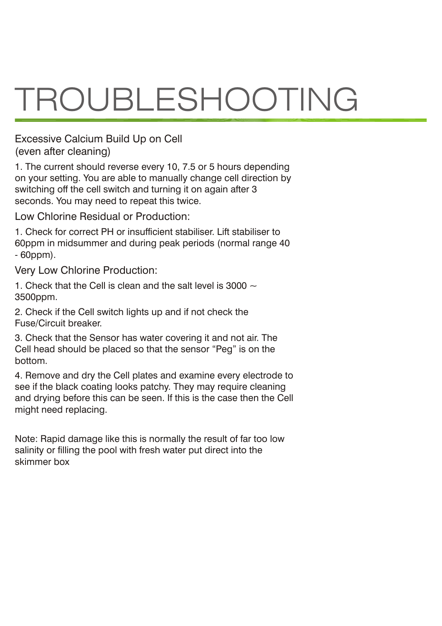# TROUBLESHOOTING

Excessive Calcium Build Up on Cell (even after cleaning)

1. The current should reverse every 10, 7.5 or 5 hours depending on your setting. You are able to manually change cell direction by switching off the cell switch and turning it on again after 3 seconds. You may need to repeat this twice.

Low Chlorine Residual or Production:

1. Check for correct PH or insufficient stabiliser. Lift stabiliser to 60ppm in midsummer and during peak periods (normal range 40 - 60ppm).

Very Low Chlorine Production:

1. Check that the Cell is clean and the salt level is 3000  $\sim$ 3500ppm.

2. Check if the Cell switch lights up and if not check the Fuse/Circuit breaker.

3. Check that the Sensor has water covering it and not air. The Cell head should be placed so that the sensor "Peg" is on the bottom.

4. Remove and dry the Cell plates and examine every electrode to see if the black coating looks patchy. They may require cleaning and drying before this can be seen. If this is the case then the Cell might need replacing.

Note: Rapid damage like this is normally the result of far too low salinity or filling the pool with fresh water put direct into the skimmer box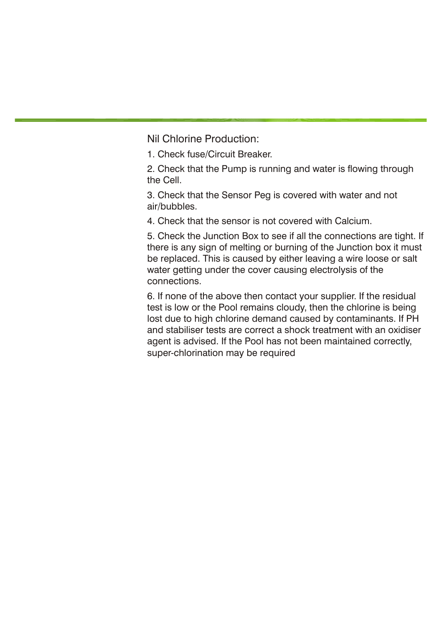Nil Chlorine Production:

1. Check fuse/Circuit Breaker.

2. Check that the Pump is running and water is flowing through the Cell.

3. Check that the Sensor Peg is covered with water and not air/bubbles.

4. Check that the sensor is not covered with Calcium.

5. Check the Junction Box to see if all the connections are tight. If there is any sign of melting or burning of the Junction box it must be replaced. This is caused by either leaving a wire loose or salt water getting under the cover causing electrolysis of the connections.

6. If none of the above then contact your supplier. If the residual test is low or the Pool remains cloudy, then the chlorine is being lost due to high chlorine demand caused by contaminants. If PH and stabiliser tests are correct a shock treatment with an oxidiser agent is advised. If the Pool has not been maintained correctly, super-chlorination may be required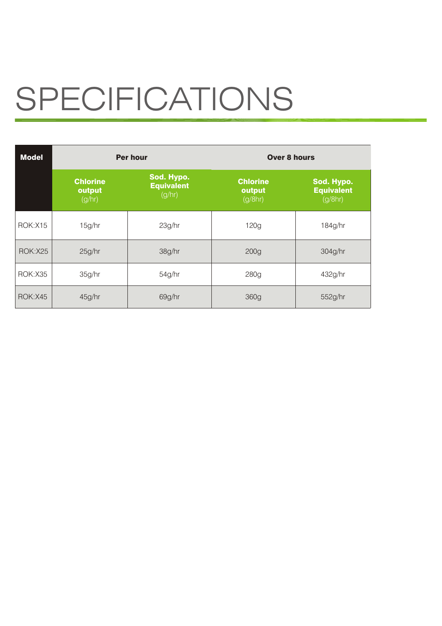# SPECIFICATIONS

| <b>Model</b>   | <b>Per hour</b>                     |                                           | Over 8 hours                         |                                            |
|----------------|-------------------------------------|-------------------------------------------|--------------------------------------|--------------------------------------------|
|                | <b>Chlorine</b><br>output<br>(g/hr) | Sod. Hypo.<br><b>Equivalent</b><br>(g/hr) | <b>Chlorine</b><br>output<br>(g/8hr) | Sod. Hypo.<br><b>Equivalent</b><br>(g/8hr) |
| <b>ROK:X15</b> | 15q/hr                              | 23g/hr                                    | 120q                                 | 184q/hr                                    |
| <b>ROK:X25</b> | 25q/hr                              | 38g/hr                                    | 200 <sub>g</sub>                     | 304q/hr                                    |
| <b>ROK:X35</b> | 35q/hr                              | 54g/hr                                    | 280q                                 | 432q/hr                                    |
| <b>ROK:X45</b> | 45g/hr                              | 69q/hr                                    | 360g                                 | 552g/hr                                    |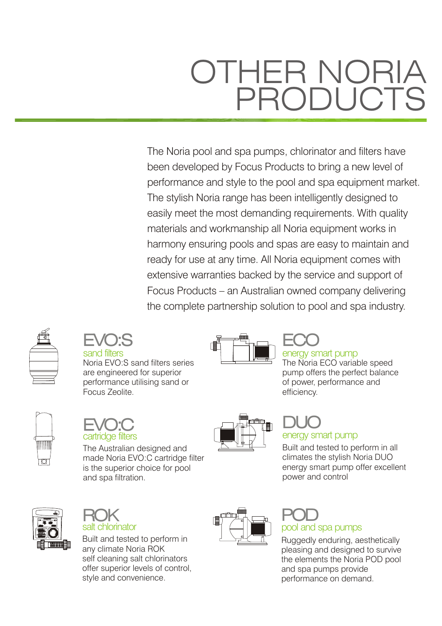### OTHER NORIA PRODUCTS

The Noria pool and spa pumps, chlorinator and filters have been developed by Focus Products to bring a new level of performance and style to the pool and spa equipment market. The stylish Noria range has been intelligently designed to easily meet the most demanding requirements. With quality materials and workmanship all Noria equipment works in harmony ensuring pools and spas are easy to maintain and ready for use at any time. All Noria equipment comes with extensive warranties backed by the service and support of Focus Products – an Australian owned company delivering the complete partnership solution to pool and spa industry.





Noria EVO:S sand filters series are engineered for superior performance utilising sand or Focus Zeolite.



The Noria ECO variable speed pump offers the perfect balance of power, performance and efficiency.





The Australian designed and made Noria EVO:C cartridge filter is the superior choice for pool and spa filtration.





Built and tested to perform in any climate Noria ROK self cleaning salt chlorinators offer superior levels of control, style and convenience.



### DUO energy smart pump

Built and tested to perform in all climates the stylish Noria DUO energy smart pump offer excellent power and control



### POD pool and spa pumps

Ruggedly enduring, aesthetically pleasing and designed to survive the elements the Noria POD pool and spa pumps provide performance on demand.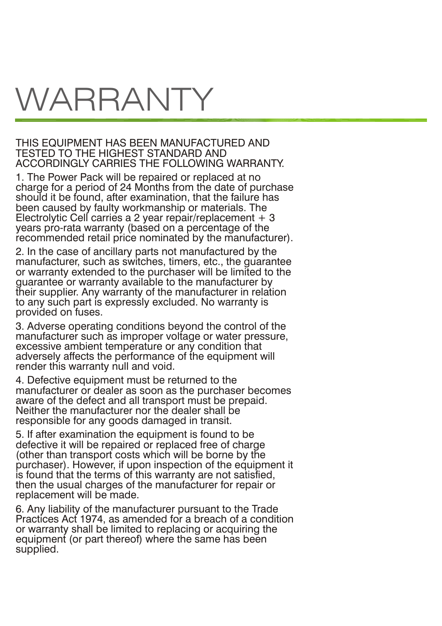## WARRANTY

### THIS EQUIPMENT HAS BEEN MANUFACTURED AND TESTED TO THE HIGHEST STANDARD AND ACCORDINGLY CARRIES THE FOLLOWING WARRANTY.

1. The Power Pack will be repaired or replaced at no charge for a period of 24 Months from the date of purchase should it be found, after examination, that the failure has been caused by faulty workmanship or materials. The Electrolytic Cell carries a 2 year repair/replacement  $+3$ years pro-rata warranty (based on a percentage of the recommended retail price nominated by the manufacturer).

2. In the case of ancillary parts not manufactured by the manufacturer, such as switches, timers, etc., the guarantee or warranty extended to the purchaser will be limited to the guarantee or warranty available to the manufacturer by their supplier. Any warranty of the manufacturer in relation to any such part is expressly excluded. No warranty is provided on fuses.

3. Adverse operating conditions beyond the control of the manufacturer such as improper voltage or water pressure, excessive ambient temperature or any condition that adversely affects the performance of the equipment will render this warranty null and void.

4. Defective equipment must be returned to the manufacturer or dealer as soon as the purchaser becomes aware of the defect and all transport must be prepaid. Neither the manufacturer nor the dealer shall be responsible for any goods damaged in transit.

5. If after examination the equipment is found to be defective it will be repaired or replaced free of charge (other than transport costs which will be borne by the purchaser). However, if upon inspection of the equipment it is found that the terms of this warranty are not satisfied, then the usual charges of the manufacturer for repair or replacement will be made.

6. Any liability of the manufacturer pursuant to the Trade Practices Act 1974, as amended for a breach of a condition or warranty shall be limited to replacing or acquiring the equipment (or part thereof) where the same has been supplied.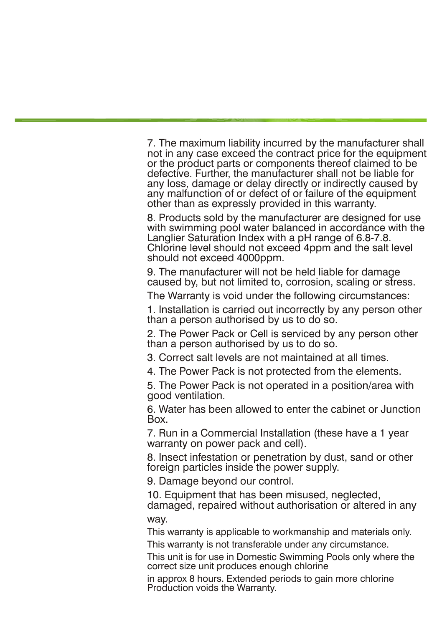7. The maximum liability incurred by the manufacturer shall not in any case exceed the contract price for the equipment or the product parts or components thereof claimed to be defective. Further, the manufacturer shall not be liable for any loss, damage or delay directly or indirectly caused by any malfunction of or defect of or failure of the equipment other than as expressly provided in this warranty.

8. Products sold by the manufacturer are designed for use with swimming pool water balanced in accordance with the Langlier Saturation Index with a pH range of 6.8-7.8. Chlorine level should not exceed 4ppm and the salt level should not exceed 4000ppm.

9. The manufacturer will not be held liable for damage caused by, but not limited to, corrosion, scaling or stress.

The Warranty is void under the following circumstances:

1. Installation is carried out incorrectly by any person other than a person authorised by us to do so.

2. The Power Pack or Cell is serviced by any person other than a person authorised by us to do so.

3. Correct salt levels are not maintained at all times.

4. The Power Pack is not protected from the elements.

5. The Power Pack is not operated in a position/area with good ventilation.

6. Water has been allowed to enter the cabinet or Junction Box.

7. Run in a Commercial Installation (these have a 1 year warranty on power pack and cell).

8. Insect infestation or penetration by dust, sand or other foreign particles inside the power supply.

9. Damage beyond our control.

10. Equipment that has been misused, neglected, damaged, repaired without authorisation or altered in any way.

This warranty is applicable to workmanship and materials only.

This warranty is not transferable under any circumstance.

This unit is for use in Domestic Swimming Pools only where the correct size unit produces enough chlorine

in approx 8 hours. Extended periods to gain more chlorine Production voids the Warranty.